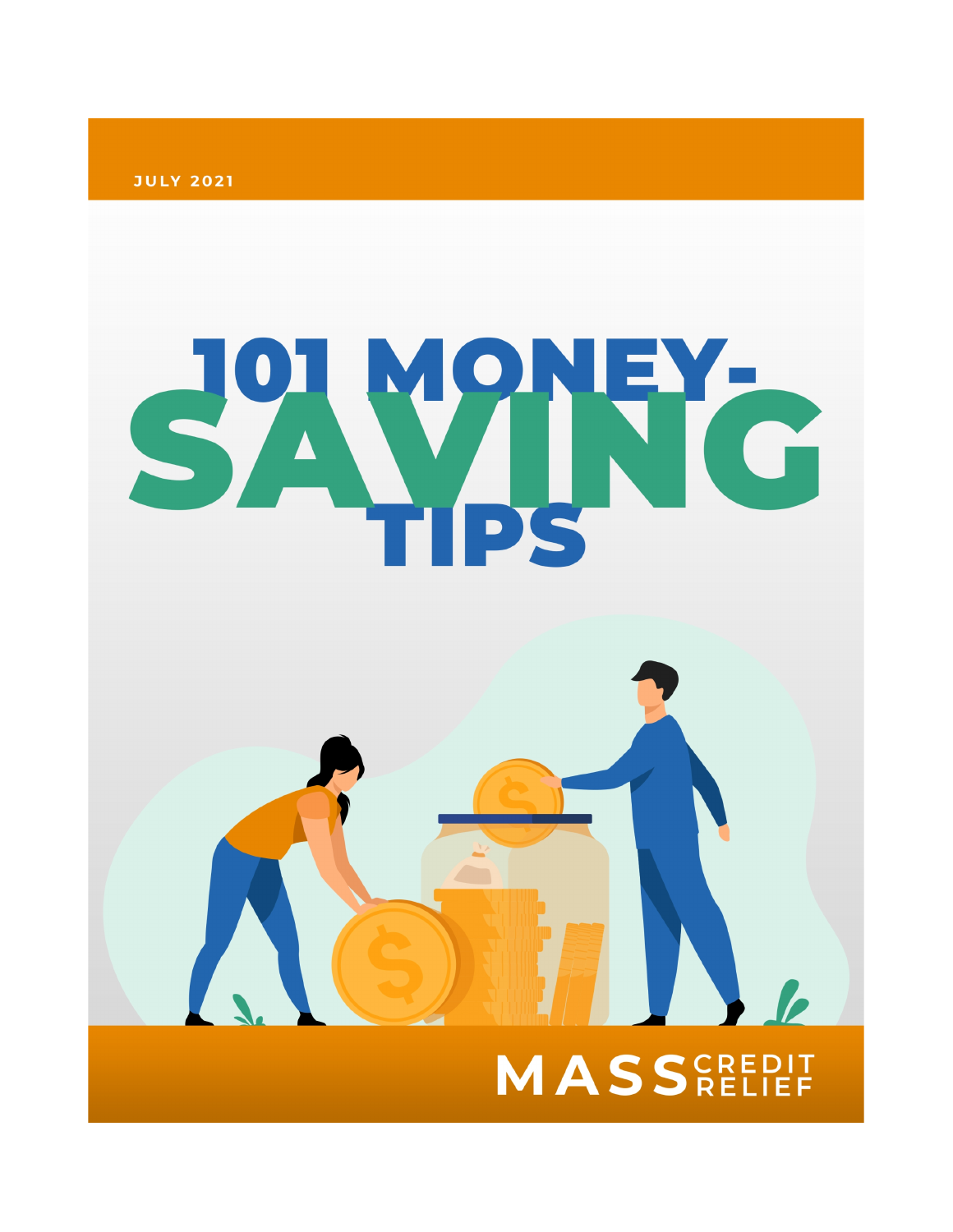**JULY 2021** 



# **MASSEREDIT**

h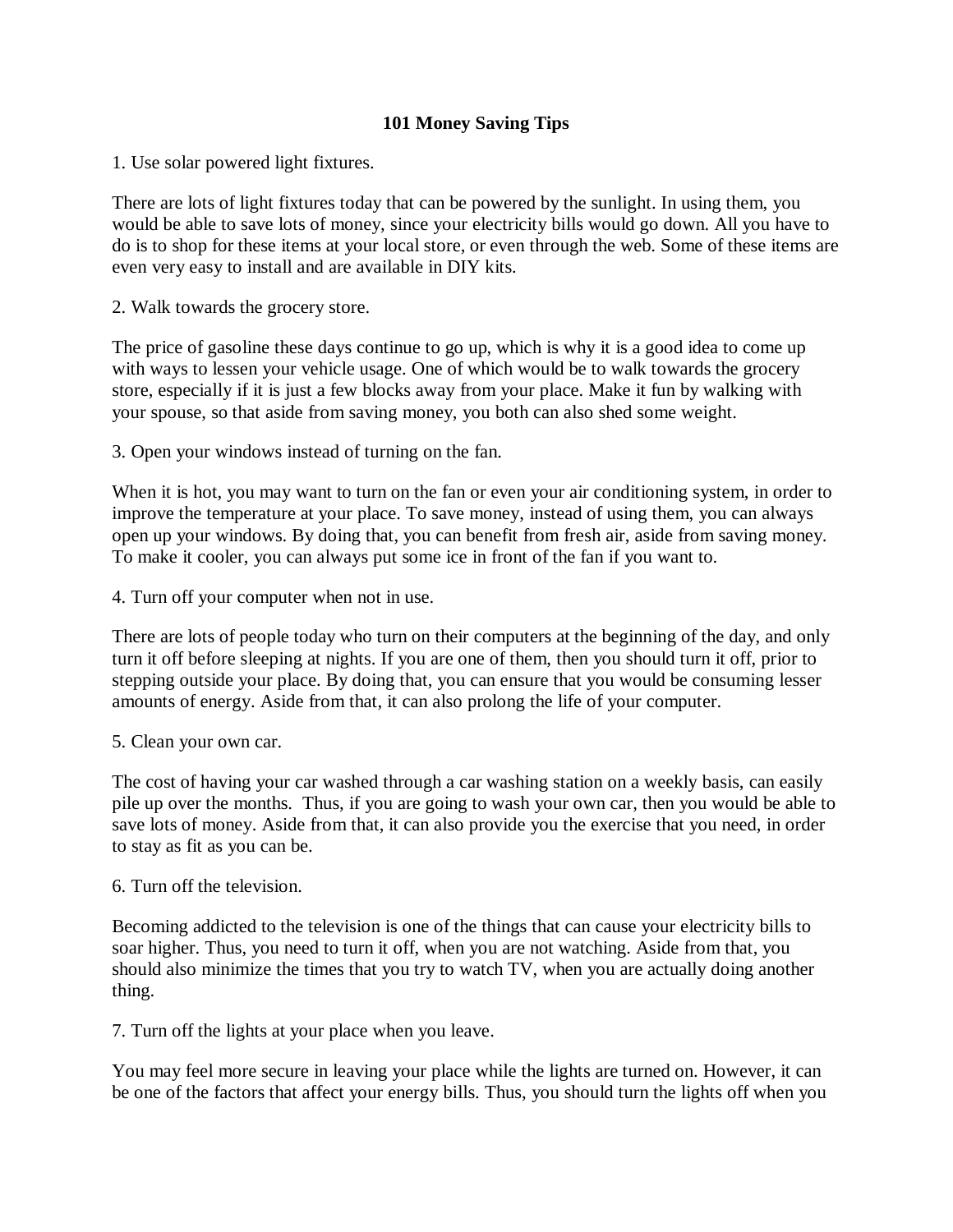# **101 Money Saving Tips**

1. Use solar powered light fixtures.

There are lots of light fixtures today that can be powered by the sunlight. In using them, you would be able to save lots of money, since your electricity bills would go down. All you have to do is to shop for these items at your local store, or even through the web. Some of these items are even very easy to install and are available in DIY kits.

2. Walk towards the grocery store.

The price of gasoline these days continue to go up, which is why it is a good idea to come up with ways to lessen your vehicle usage. One of which would be to walk towards the grocery store, especially if it is just a few blocks away from your place. Make it fun by walking with your spouse, so that aside from saving money, you both can also shed some weight.

3. Open your windows instead of turning on the fan.

When it is hot, you may want to turn on the fan or even your air conditioning system, in order to improve the temperature at your place. To save money, instead of using them, you can always open up your windows. By doing that, you can benefit from fresh air, aside from saving money. To make it cooler, you can always put some ice in front of the fan if you want to.

4. Turn off your computer when not in use.

There are lots of people today who turn on their computers at the beginning of the day, and only turn it off before sleeping at nights. If you are one of them, then you should turn it off, prior to stepping outside your place. By doing that, you can ensure that you would be consuming lesser amounts of energy. Aside from that, it can also prolong the life of your computer.

5. Clean your own car.

The cost of having your car washed through a car washing station on a weekly basis, can easily pile up over the months. Thus, if you are going to wash your own car, then you would be able to save lots of money. Aside from that, it can also provide you the exercise that you need, in order to stay as fit as you can be.

6. Turn off the television.

Becoming addicted to the television is one of the things that can cause your electricity bills to soar higher. Thus, you need to turn it off, when you are not watching. Aside from that, you should also minimize the times that you try to watch TV, when you are actually doing another thing.

7. Turn off the lights at your place when you leave.

You may feel more secure in leaving your place while the lights are turned on. However, it can be one of the factors that affect your energy bills. Thus, you should turn the lights off when you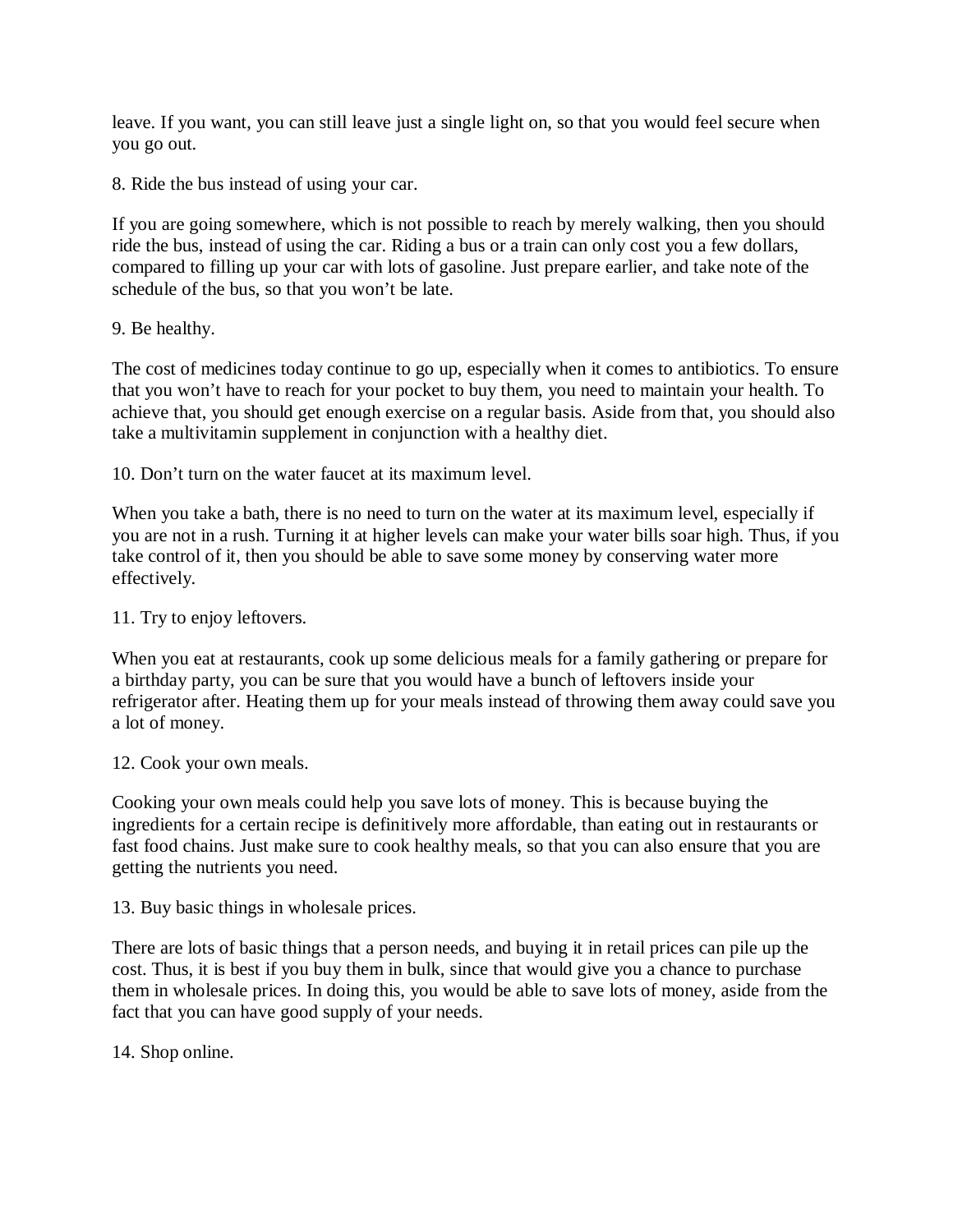leave. If you want, you can still leave just a single light on, so that you would feel secure when you go out.

8. Ride the bus instead of using your car.

If you are going somewhere, which is not possible to reach by merely walking, then you should ride the bus, instead of using the car. Riding a bus or a train can only cost you a few dollars, compared to filling up your car with lots of gasoline. Just prepare earlier, and take note of the schedule of the bus, so that you won't be late.

9. Be healthy.

The cost of medicines today continue to go up, especially when it comes to antibiotics. To ensure that you won't have to reach for your pocket to buy them, you need to maintain your health. To achieve that, you should get enough exercise on a regular basis. Aside from that, you should also take a multivitamin supplement in conjunction with a healthy diet.

10. Don't turn on the water faucet at its maximum level.

When you take a bath, there is no need to turn on the water at its maximum level, especially if you are not in a rush. Turning it at higher levels can make your water bills soar high. Thus, if you take control of it, then you should be able to save some money by conserving water more effectively.

11. Try to enjoy leftovers.

When you eat at restaurants, cook up some delicious meals for a family gathering or prepare for a birthday party, you can be sure that you would have a bunch of leftovers inside your refrigerator after. Heating them up for your meals instead of throwing them away could save you a lot of money.

12. Cook your own meals.

Cooking your own meals could help you save lots of money. This is because buying the ingredients for a certain recipe is definitively more affordable, than eating out in restaurants or fast food chains. Just make sure to cook healthy meals, so that you can also ensure that you are getting the nutrients you need.

13. Buy basic things in wholesale prices.

There are lots of basic things that a person needs, and buying it in retail prices can pile up the cost. Thus, it is best if you buy them in bulk, since that would give you a chance to purchase them in wholesale prices. In doing this, you would be able to save lots of money, aside from the fact that you can have good supply of your needs.

14. Shop online.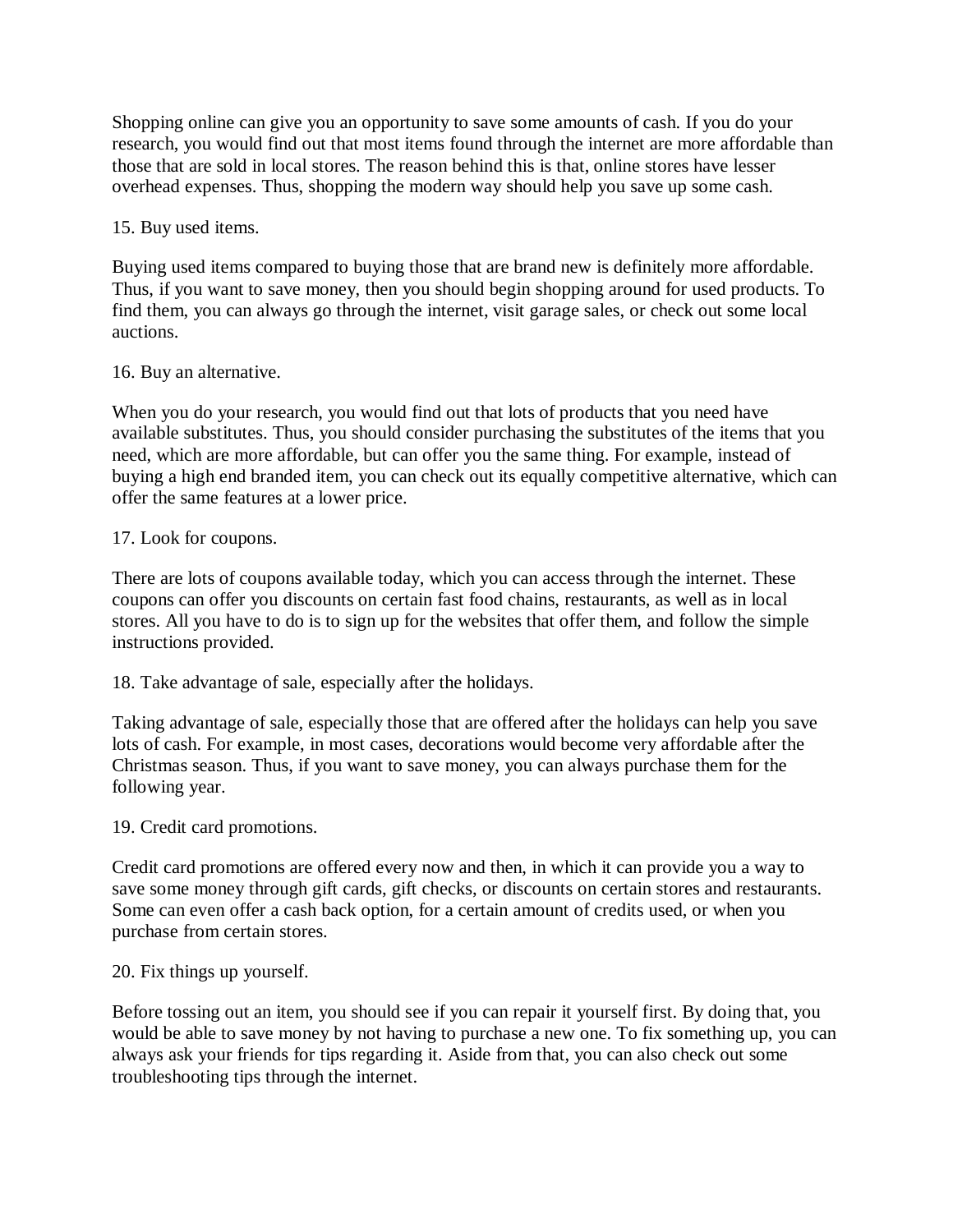Shopping online can give you an opportunity to save some amounts of cash. If you do your research, you would find out that most items found through the internet are more affordable than those that are sold in local stores. The reason behind this is that, online stores have lesser overhead expenses. Thus, shopping the modern way should help you save up some cash.

# 15. Buy used items.

Buying used items compared to buying those that are brand new is definitely more affordable. Thus, if you want to save money, then you should begin shopping around for used products. To find them, you can always go through the internet, visit garage sales, or check out some local auctions.

# 16. Buy an alternative.

When you do your research, you would find out that lots of products that you need have available substitutes. Thus, you should consider purchasing the substitutes of the items that you need, which are more affordable, but can offer you the same thing. For example, instead of buying a high end branded item, you can check out its equally competitive alternative, which can offer the same features at a lower price.

# 17. Look for coupons.

There are lots of coupons available today, which you can access through the internet. These coupons can offer you discounts on certain fast food chains, restaurants, as well as in local stores. All you have to do is to sign up for the websites that offer them, and follow the simple instructions provided.

18. Take advantage of sale, especially after the holidays.

Taking advantage of sale, especially those that are offered after the holidays can help you save lots of cash. For example, in most cases, decorations would become very affordable after the Christmas season. Thus, if you want to save money, you can always purchase them for the following year.

#### 19. Credit card promotions.

Credit card promotions are offered every now and then, in which it can provide you a way to save some money through gift cards, gift checks, or discounts on certain stores and restaurants. Some can even offer a cash back option, for a certain amount of credits used, or when you purchase from certain stores.

#### 20. Fix things up yourself.

Before tossing out an item, you should see if you can repair it yourself first. By doing that, you would be able to save money by not having to purchase a new one. To fix something up, you can always ask your friends for tips regarding it. Aside from that, you can also check out some troubleshooting tips through the internet.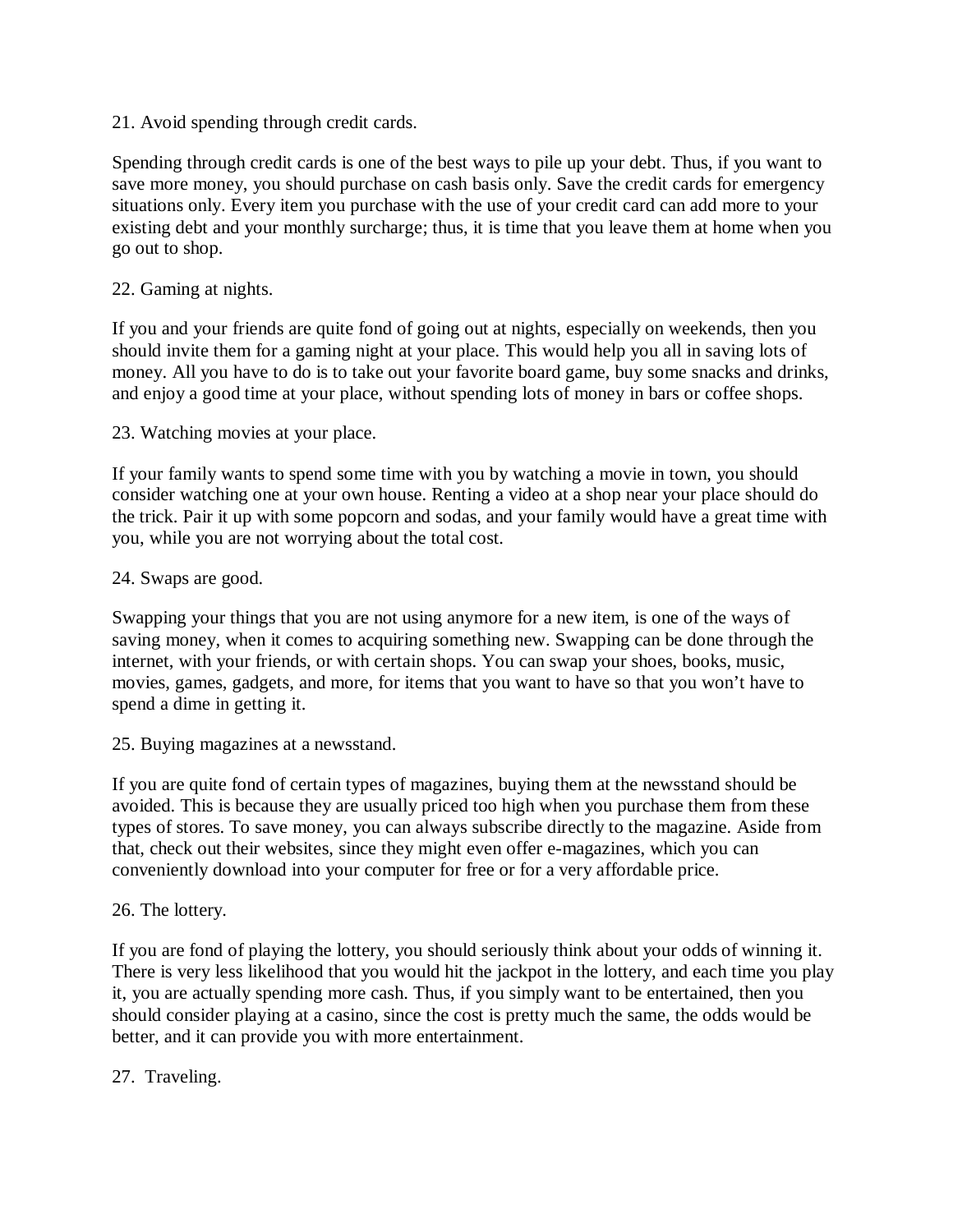21. Avoid spending through credit cards.

Spending through credit cards is one of the best ways to pile up your debt. Thus, if you want to save more money, you should purchase on cash basis only. Save the credit cards for emergency situations only. Every item you purchase with the use of your credit card can add more to your existing debt and your monthly surcharge; thus, it is time that you leave them at home when you go out to shop.

#### 22. Gaming at nights.

If you and your friends are quite fond of going out at nights, especially on weekends, then you should invite them for a gaming night at your place. This would help you all in saving lots of money. All you have to do is to take out your favorite board game, buy some snacks and drinks, and enjoy a good time at your place, without spending lots of money in bars or coffee shops.

23. Watching movies at your place.

If your family wants to spend some time with you by watching a movie in town, you should consider watching one at your own house. Renting a video at a shop near your place should do the trick. Pair it up with some popcorn and sodas, and your family would have a great time with you, while you are not worrying about the total cost.

#### 24. Swaps are good.

Swapping your things that you are not using anymore for a new item, is one of the ways of saving money, when it comes to acquiring something new. Swapping can be done through the internet, with your friends, or with certain shops. You can swap your shoes, books, music, movies, games, gadgets, and more, for items that you want to have so that you won't have to spend a dime in getting it.

25. Buying magazines at a newsstand.

If you are quite fond of certain types of magazines, buying them at the newsstand should be avoided. This is because they are usually priced too high when you purchase them from these types of stores. To save money, you can always subscribe directly to the magazine. Aside from that, check out their websites, since they might even offer e-magazines, which you can conveniently download into your computer for free or for a very affordable price.

#### 26. The lottery.

If you are fond of playing the lottery, you should seriously think about your odds of winning it. There is very less likelihood that you would hit the jackpot in the lottery, and each time you play it, you are actually spending more cash. Thus, if you simply want to be entertained, then you should consider playing at a casino, since the cost is pretty much the same, the odds would be better, and it can provide you with more entertainment.

#### 27. Traveling.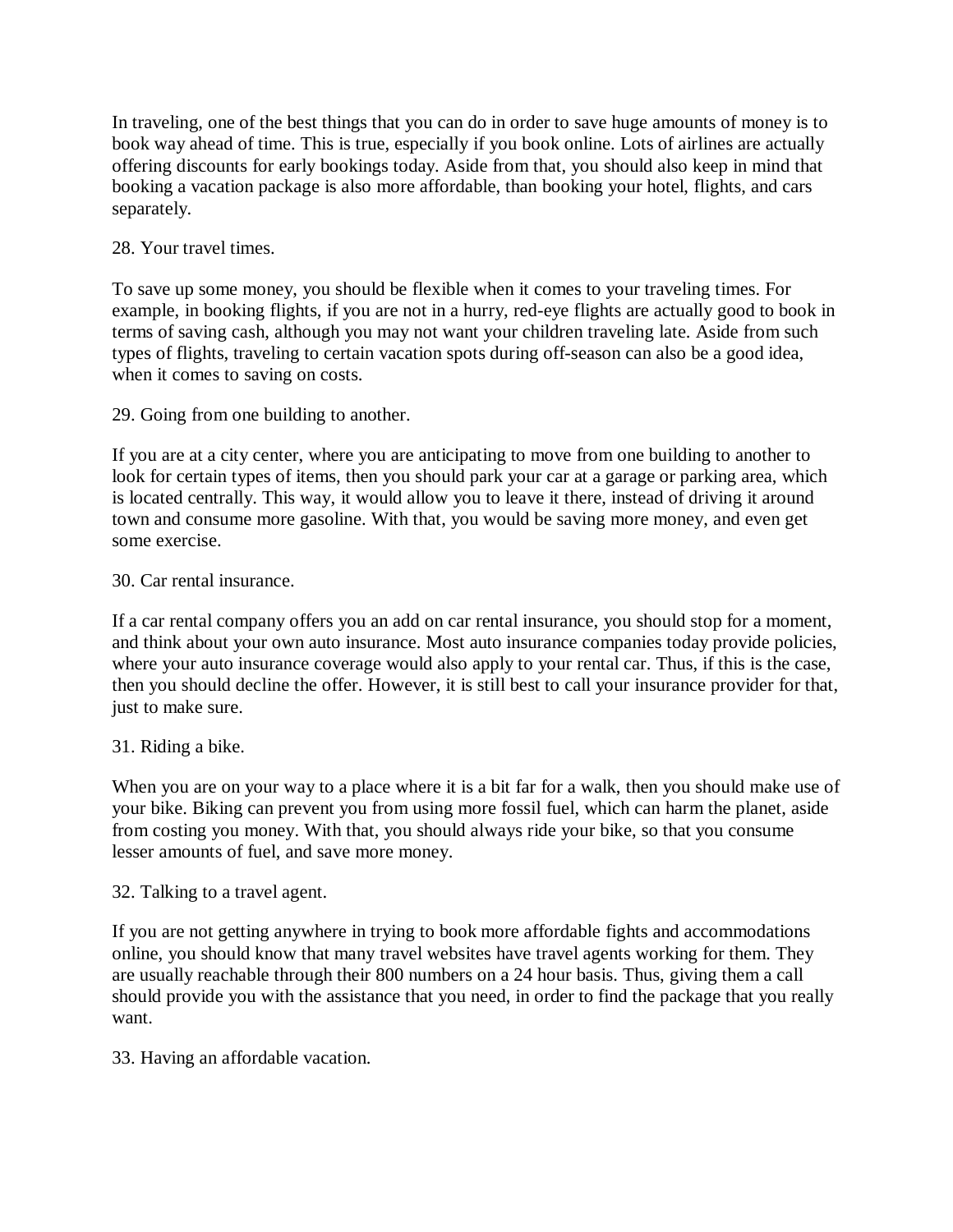In traveling, one of the best things that you can do in order to save huge amounts of money is to book way ahead of time. This is true, especially if you book online. Lots of airlines are actually offering discounts for early bookings today. Aside from that, you should also keep in mind that booking a vacation package is also more affordable, than booking your hotel, flights, and cars separately.

# 28. Your travel times.

To save up some money, you should be flexible when it comes to your traveling times. For example, in booking flights, if you are not in a hurry, red-eye flights are actually good to book in terms of saving cash, although you may not want your children traveling late. Aside from such types of flights, traveling to certain vacation spots during off-season can also be a good idea, when it comes to saving on costs.

# 29. Going from one building to another.

If you are at a city center, where you are anticipating to move from one building to another to look for certain types of items, then you should park your car at a garage or parking area, which is located centrally. This way, it would allow you to leave it there, instead of driving it around town and consume more gasoline. With that, you would be saving more money, and even get some exercise.

# 30. Car rental insurance.

If a car rental company offers you an add on car rental insurance, you should stop for a moment, and think about your own auto insurance. Most auto insurance companies today provide policies, where your auto insurance coverage would also apply to your rental car. Thus, if this is the case, then you should decline the offer. However, it is still best to call your insurance provider for that, just to make sure.

# 31. Riding a bike.

When you are on your way to a place where it is a bit far for a walk, then you should make use of your bike. Biking can prevent you from using more fossil fuel, which can harm the planet, aside from costing you money. With that, you should always ride your bike, so that you consume lesser amounts of fuel, and save more money.

# 32. Talking to a travel agent.

If you are not getting anywhere in trying to book more affordable fights and accommodations online, you should know that many travel websites have travel agents working for them. They are usually reachable through their 800 numbers on a 24 hour basis. Thus, giving them a call should provide you with the assistance that you need, in order to find the package that you really want.

# 33. Having an affordable vacation.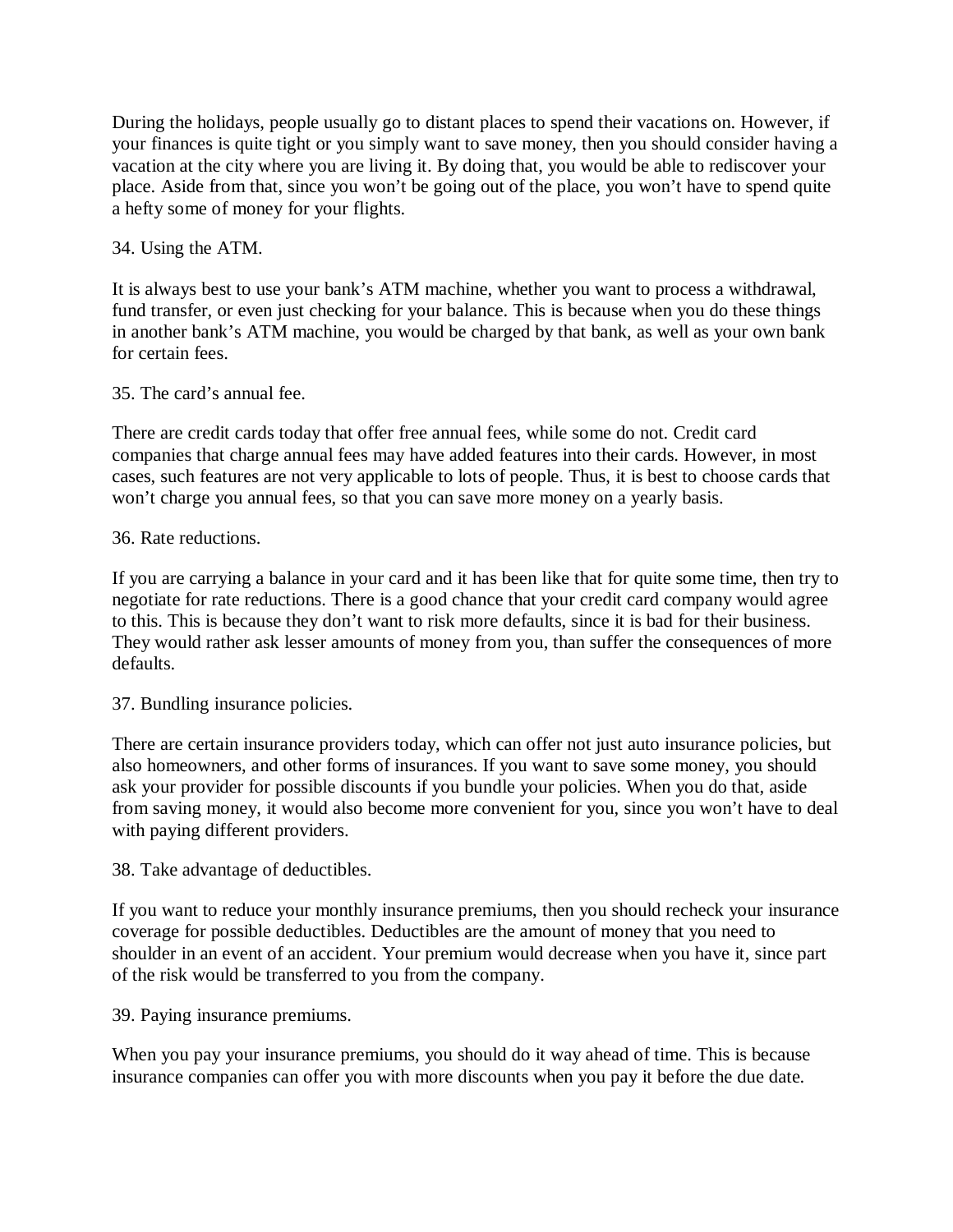During the holidays, people usually go to distant places to spend their vacations on. However, if your finances is quite tight or you simply want to save money, then you should consider having a vacation at the city where you are living it. By doing that, you would be able to rediscover your place. Aside from that, since you won't be going out of the place, you won't have to spend quite a hefty some of money for your flights.

34. Using the ATM.

It is always best to use your bank's ATM machine, whether you want to process a withdrawal, fund transfer, or even just checking for your balance. This is because when you do these things in another bank's ATM machine, you would be charged by that bank, as well as your own bank for certain fees.

35. The card's annual fee.

There are credit cards today that offer free annual fees, while some do not. Credit card companies that charge annual fees may have added features into their cards. However, in most cases, such features are not very applicable to lots of people. Thus, it is best to choose cards that won't charge you annual fees, so that you can save more money on a yearly basis.

# 36. Rate reductions.

If you are carrying a balance in your card and it has been like that for quite some time, then try to negotiate for rate reductions. There is a good chance that your credit card company would agree to this. This is because they don't want to risk more defaults, since it is bad for their business. They would rather ask lesser amounts of money from you, than suffer the consequences of more defaults.

#### 37. Bundling insurance policies.

There are certain insurance providers today, which can offer not just auto insurance policies, but also homeowners, and other forms of insurances. If you want to save some money, you should ask your provider for possible discounts if you bundle your policies. When you do that, aside from saving money, it would also become more convenient for you, since you won't have to deal with paying different providers.

38. Take advantage of deductibles.

If you want to reduce your monthly insurance premiums, then you should recheck your insurance coverage for possible deductibles. Deductibles are the amount of money that you need to shoulder in an event of an accident. Your premium would decrease when you have it, since part of the risk would be transferred to you from the company.

39. Paying insurance premiums.

When you pay your insurance premiums, you should do it way ahead of time. This is because insurance companies can offer you with more discounts when you pay it before the due date.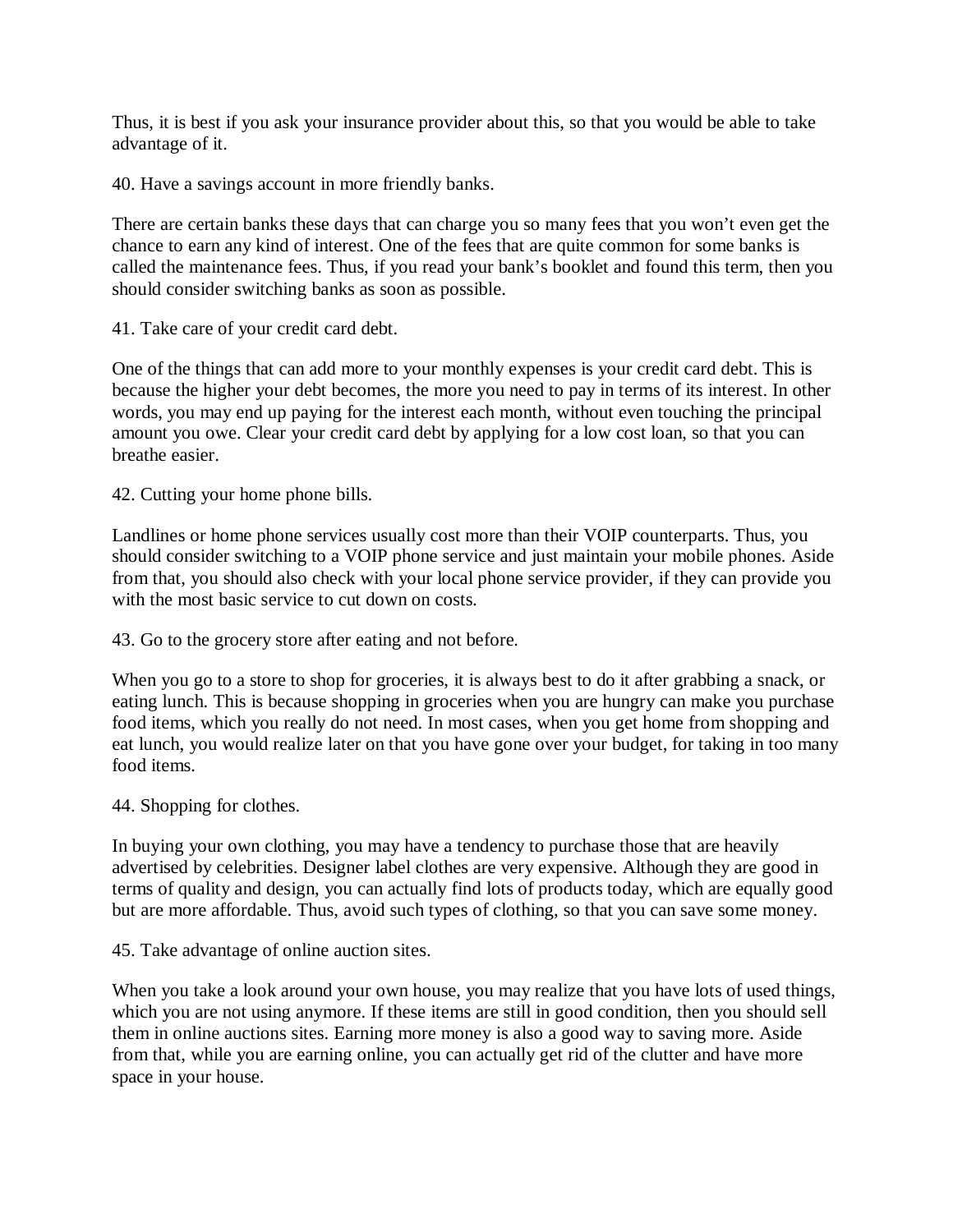Thus, it is best if you ask your insurance provider about this, so that you would be able to take advantage of it.

40. Have a savings account in more friendly banks.

There are certain banks these days that can charge you so many fees that you won't even get the chance to earn any kind of interest. One of the fees that are quite common for some banks is called the maintenance fees. Thus, if you read your bank's booklet and found this term, then you should consider switching banks as soon as possible.

41. Take care of your credit card debt.

One of the things that can add more to your monthly expenses is your credit card debt. This is because the higher your debt becomes, the more you need to pay in terms of its interest. In other words, you may end up paying for the interest each month, without even touching the principal amount you owe. Clear your credit card debt by applying for a low cost loan, so that you can breathe easier.

42. Cutting your home phone bills.

Landlines or home phone services usually cost more than their VOIP counterparts. Thus, you should consider switching to a VOIP phone service and just maintain your mobile phones. Aside from that, you should also check with your local phone service provider, if they can provide you with the most basic service to cut down on costs.

43. Go to the grocery store after eating and not before.

When you go to a store to shop for groceries, it is always best to do it after grabbing a snack, or eating lunch. This is because shopping in groceries when you are hungry can make you purchase food items, which you really do not need. In most cases, when you get home from shopping and eat lunch, you would realize later on that you have gone over your budget, for taking in too many food items.

44. Shopping for clothes.

In buying your own clothing, you may have a tendency to purchase those that are heavily advertised by celebrities. Designer label clothes are very expensive. Although they are good in terms of quality and design, you can actually find lots of products today, which are equally good but are more affordable. Thus, avoid such types of clothing, so that you can save some money.

45. Take advantage of online auction sites.

When you take a look around your own house, you may realize that you have lots of used things, which you are not using anymore. If these items are still in good condition, then you should sell them in online auctions sites. Earning more money is also a good way to saving more. Aside from that, while you are earning online, you can actually get rid of the clutter and have more space in your house.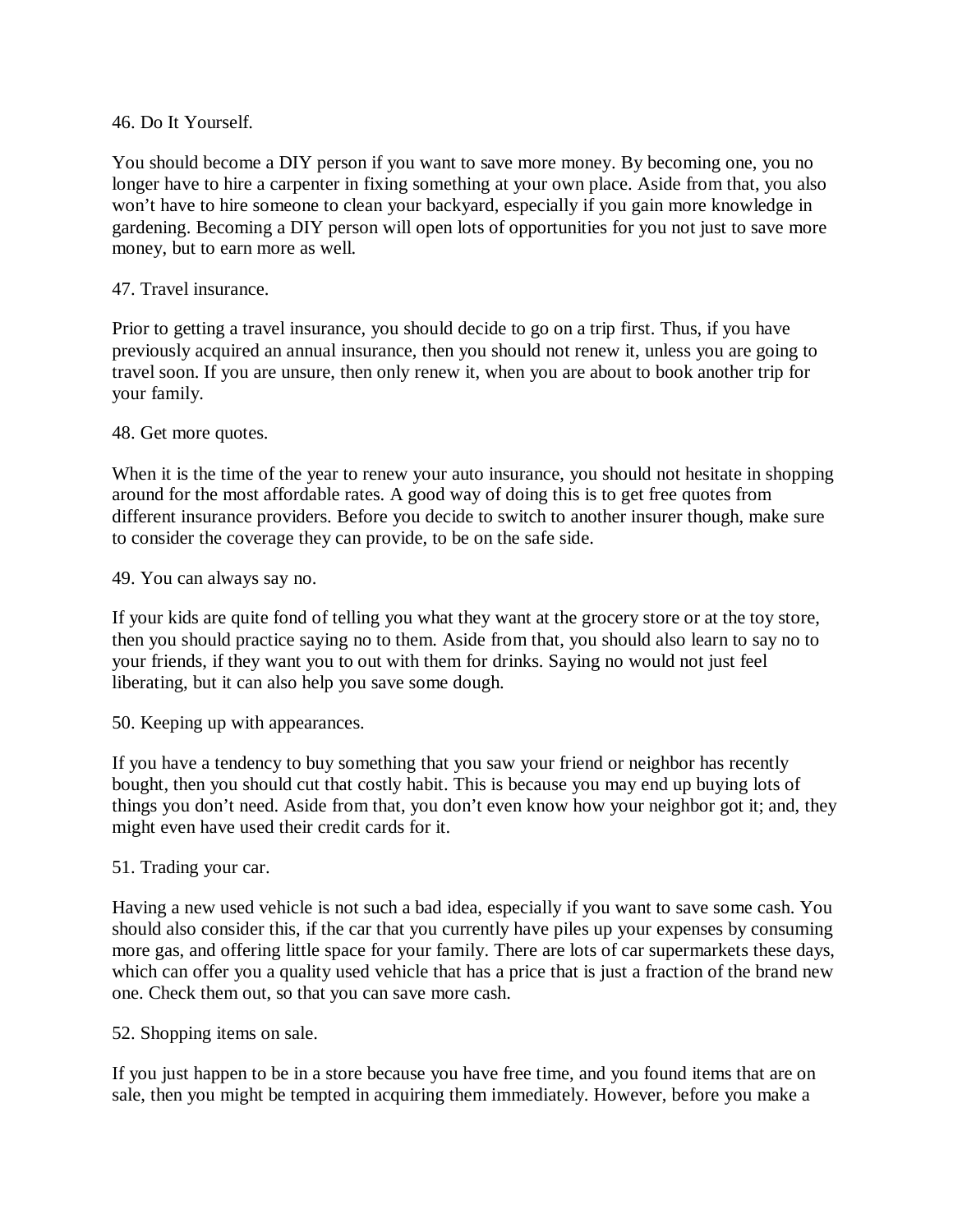#### 46. Do It Yourself.

You should become a DIY person if you want to save more money. By becoming one, you no longer have to hire a carpenter in fixing something at your own place. Aside from that, you also won't have to hire someone to clean your backyard, especially if you gain more knowledge in gardening. Becoming a DIY person will open lots of opportunities for you not just to save more money, but to earn more as well.

#### 47. Travel insurance.

Prior to getting a travel insurance, you should decide to go on a trip first. Thus, if you have previously acquired an annual insurance, then you should not renew it, unless you are going to travel soon. If you are unsure, then only renew it, when you are about to book another trip for your family.

#### 48. Get more quotes.

When it is the time of the year to renew your auto insurance, you should not hesitate in shopping around for the most affordable rates. A good way of doing this is to get free quotes from different insurance providers. Before you decide to switch to another insurer though, make sure to consider the coverage they can provide, to be on the safe side.

49. You can always say no.

If your kids are quite fond of telling you what they want at the grocery store or at the toy store, then you should practice saying no to them. Aside from that, you should also learn to say no to your friends, if they want you to out with them for drinks. Saying no would not just feel liberating, but it can also help you save some dough.

50. Keeping up with appearances.

If you have a tendency to buy something that you saw your friend or neighbor has recently bought, then you should cut that costly habit. This is because you may end up buying lots of things you don't need. Aside from that, you don't even know how your neighbor got it; and, they might even have used their credit cards for it.

#### 51. Trading your car.

Having a new used vehicle is not such a bad idea, especially if you want to save some cash. You should also consider this, if the car that you currently have piles up your expenses by consuming more gas, and offering little space for your family. There are lots of car supermarkets these days, which can offer you a quality used vehicle that has a price that is just a fraction of the brand new one. Check them out, so that you can save more cash.

52. Shopping items on sale.

If you just happen to be in a store because you have free time, and you found items that are on sale, then you might be tempted in acquiring them immediately. However, before you make a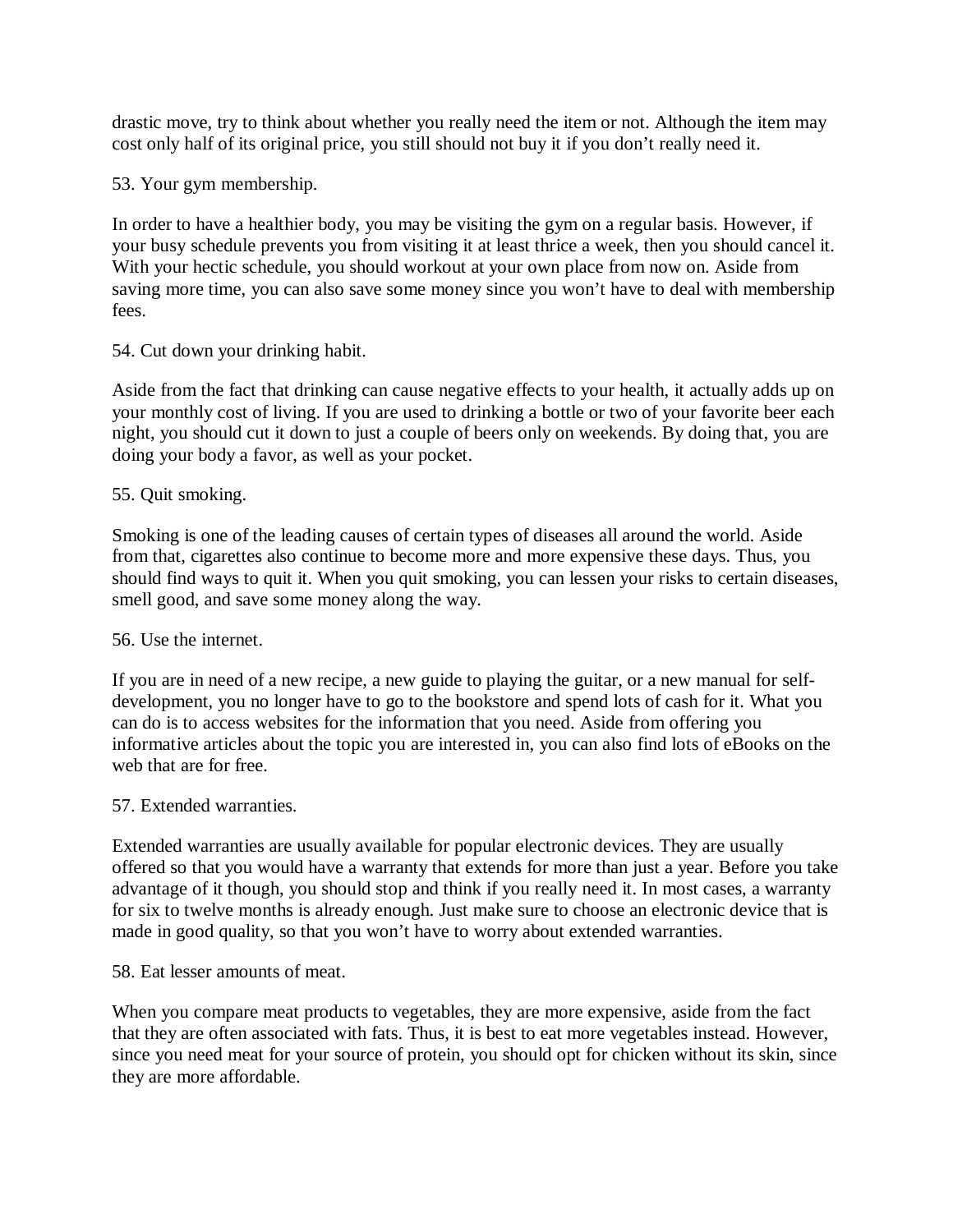drastic move, try to think about whether you really need the item or not. Although the item may cost only half of its original price, you still should not buy it if you don't really need it.

53. Your gym membership.

In order to have a healthier body, you may be visiting the gym on a regular basis. However, if your busy schedule prevents you from visiting it at least thrice a week, then you should cancel it. With your hectic schedule, you should workout at your own place from now on. Aside from saving more time, you can also save some money since you won't have to deal with membership fees.

54. Cut down your drinking habit.

Aside from the fact that drinking can cause negative effects to your health, it actually adds up on your monthly cost of living. If you are used to drinking a bottle or two of your favorite beer each night, you should cut it down to just a couple of beers only on weekends. By doing that, you are doing your body a favor, as well as your pocket.

# 55. Quit smoking.

Smoking is one of the leading causes of certain types of diseases all around the world. Aside from that, cigarettes also continue to become more and more expensive these days. Thus, you should find ways to quit it. When you quit smoking, you can lessen your risks to certain diseases, smell good, and save some money along the way.

#### 56. Use the internet.

If you are in need of a new recipe, a new guide to playing the guitar, or a new manual for selfdevelopment, you no longer have to go to the bookstore and spend lots of cash for it. What you can do is to access websites for the information that you need. Aside from offering you informative articles about the topic you are interested in, you can also find lots of eBooks on the web that are for free.

#### 57. Extended warranties.

Extended warranties are usually available for popular electronic devices. They are usually offered so that you would have a warranty that extends for more than just a year. Before you take advantage of it though, you should stop and think if you really need it. In most cases, a warranty for six to twelve months is already enough. Just make sure to choose an electronic device that is made in good quality, so that you won't have to worry about extended warranties.

#### 58. Eat lesser amounts of meat.

When you compare meat products to vegetables, they are more expensive, aside from the fact that they are often associated with fats. Thus, it is best to eat more vegetables instead. However, since you need meat for your source of protein, you should opt for chicken without its skin, since they are more affordable.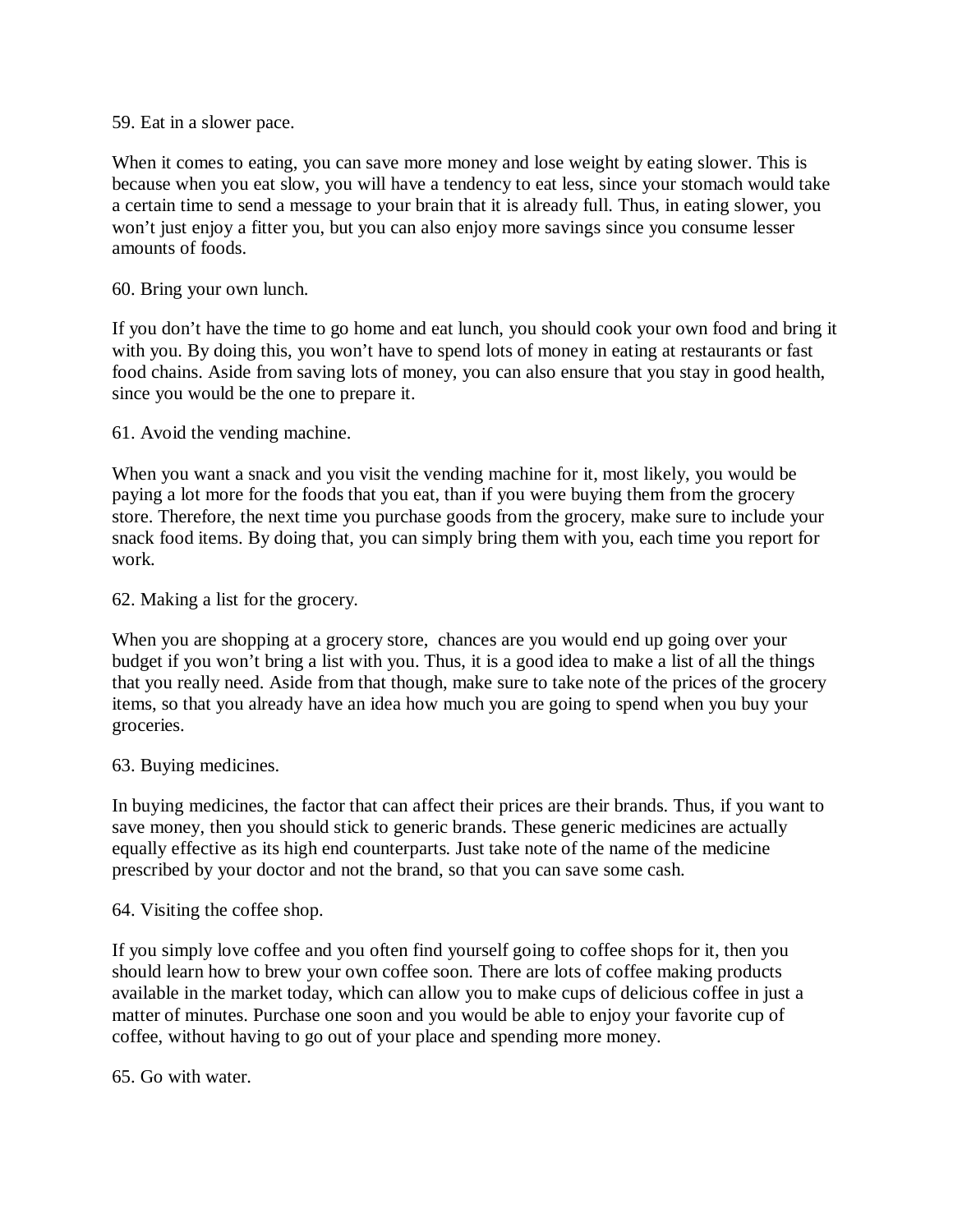59. Eat in a slower pace.

When it comes to eating, you can save more money and lose weight by eating slower. This is because when you eat slow, you will have a tendency to eat less, since your stomach would take a certain time to send a message to your brain that it is already full. Thus, in eating slower, you won't just enjoy a fitter you, but you can also enjoy more savings since you consume lesser amounts of foods.

60. Bring your own lunch.

If you don't have the time to go home and eat lunch, you should cook your own food and bring it with you. By doing this, you won't have to spend lots of money in eating at restaurants or fast food chains. Aside from saving lots of money, you can also ensure that you stay in good health, since you would be the one to prepare it.

61. Avoid the vending machine.

When you want a snack and you visit the vending machine for it, most likely, you would be paying a lot more for the foods that you eat, than if you were buying them from the grocery store. Therefore, the next time you purchase goods from the grocery, make sure to include your snack food items. By doing that, you can simply bring them with you, each time you report for work.

62. Making a list for the grocery.

When you are shopping at a grocery store, chances are you would end up going over your budget if you won't bring a list with you. Thus, it is a good idea to make a list of all the things that you really need. Aside from that though, make sure to take note of the prices of the grocery items, so that you already have an idea how much you are going to spend when you buy your groceries.

63. Buying medicines.

In buying medicines, the factor that can affect their prices are their brands. Thus, if you want to save money, then you should stick to generic brands. These generic medicines are actually equally effective as its high end counterparts. Just take note of the name of the medicine prescribed by your doctor and not the brand, so that you can save some cash.

64. Visiting the coffee shop.

If you simply love coffee and you often find yourself going to coffee shops for it, then you should learn how to brew your own coffee soon. There are lots of coffee making products available in the market today, which can allow you to make cups of delicious coffee in just a matter of minutes. Purchase one soon and you would be able to enjoy your favorite cup of coffee, without having to go out of your place and spending more money.

65. Go with water.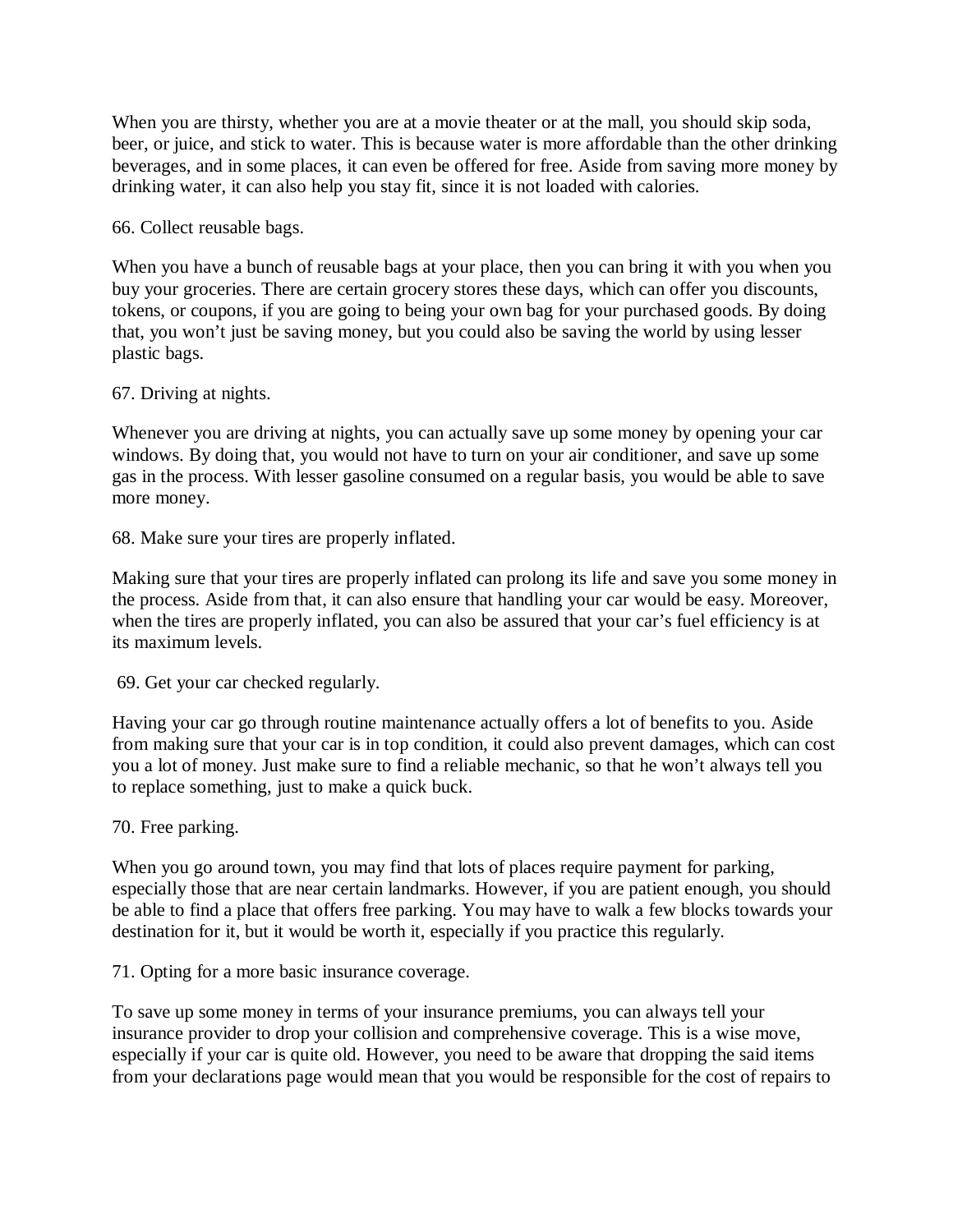When you are thirsty, whether you are at a movie theater or at the mall, you should skip soda, beer, or juice, and stick to water. This is because water is more affordable than the other drinking beverages, and in some places, it can even be offered for free. Aside from saving more money by drinking water, it can also help you stay fit, since it is not loaded with calories.

66. Collect reusable bags.

When you have a bunch of reusable bags at your place, then you can bring it with you when you buy your groceries. There are certain grocery stores these days, which can offer you discounts, tokens, or coupons, if you are going to being your own bag for your purchased goods. By doing that, you won't just be saving money, but you could also be saving the world by using lesser plastic bags.

# 67. Driving at nights.

Whenever you are driving at nights, you can actually save up some money by opening your car windows. By doing that, you would not have to turn on your air conditioner, and save up some gas in the process. With lesser gasoline consumed on a regular basis, you would be able to save more money.

68. Make sure your tires are properly inflated.

Making sure that your tires are properly inflated can prolong its life and save you some money in the process. Aside from that, it can also ensure that handling your car would be easy. Moreover, when the tires are properly inflated, you can also be assured that your car's fuel efficiency is at its maximum levels.

69. Get your car checked regularly.

Having your car go through routine maintenance actually offers a lot of benefits to you. Aside from making sure that your car is in top condition, it could also prevent damages, which can cost you a lot of money. Just make sure to find a reliable mechanic, so that he won't always tell you to replace something, just to make a quick buck.

70. Free parking.

When you go around town, you may find that lots of places require payment for parking, especially those that are near certain landmarks. However, if you are patient enough, you should be able to find a place that offers free parking. You may have to walk a few blocks towards your destination for it, but it would be worth it, especially if you practice this regularly.

71. Opting for a more basic insurance coverage.

To save up some money in terms of your insurance premiums, you can always tell your insurance provider to drop your collision and comprehensive coverage. This is a wise move, especially if your car is quite old. However, you need to be aware that dropping the said items from your declarations page would mean that you would be responsible for the cost of repairs to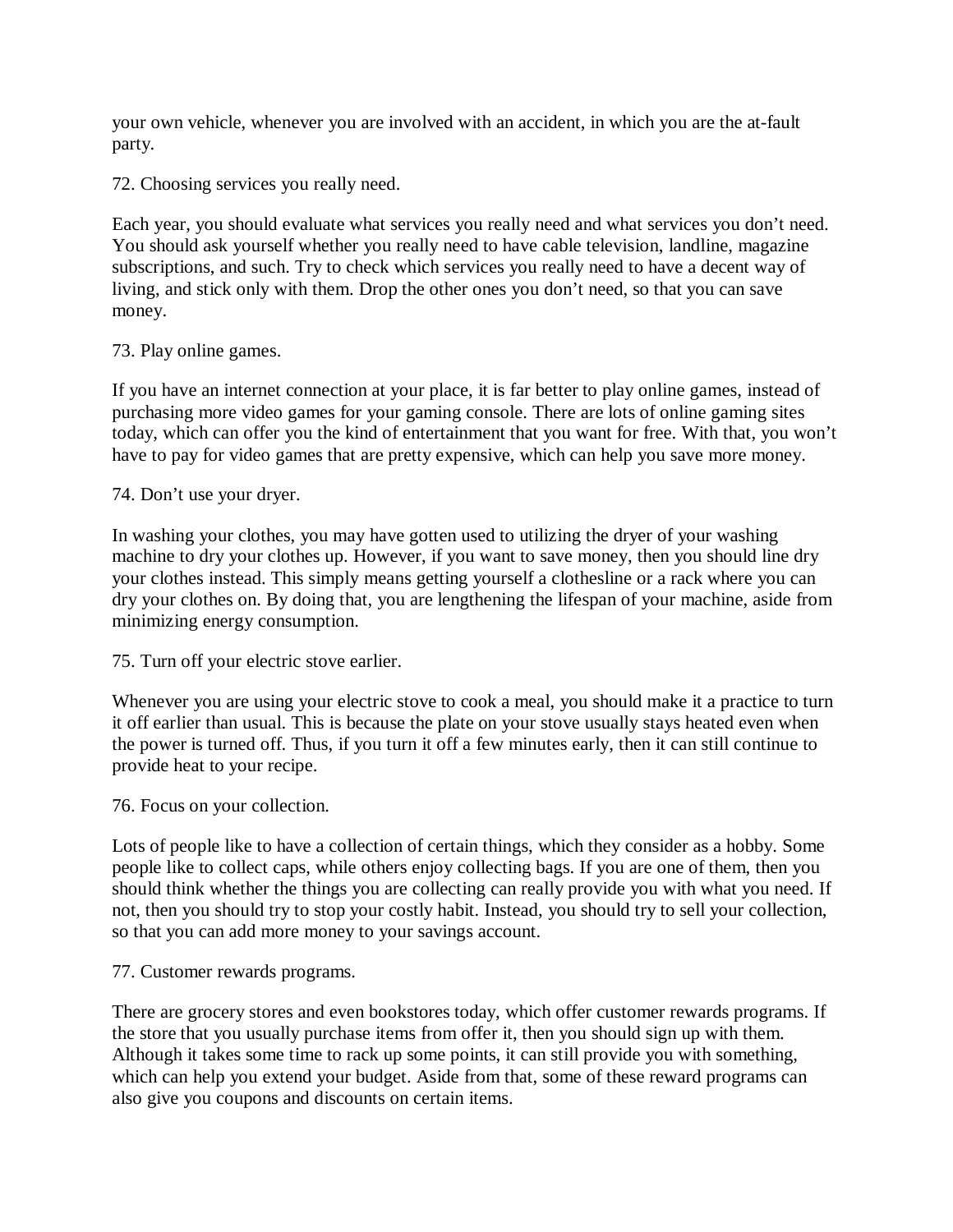your own vehicle, whenever you are involved with an accident, in which you are the at-fault party.

72. Choosing services you really need.

Each year, you should evaluate what services you really need and what services you don't need. You should ask yourself whether you really need to have cable television, landline, magazine subscriptions, and such. Try to check which services you really need to have a decent way of living, and stick only with them. Drop the other ones you don't need, so that you can save money.

# 73. Play online games.

If you have an internet connection at your place, it is far better to play online games, instead of purchasing more video games for your gaming console. There are lots of online gaming sites today, which can offer you the kind of entertainment that you want for free. With that, you won't have to pay for video games that are pretty expensive, which can help you save more money.

# 74. Don't use your dryer.

In washing your clothes, you may have gotten used to utilizing the dryer of your washing machine to dry your clothes up. However, if you want to save money, then you should line dry your clothes instead. This simply means getting yourself a clothesline or a rack where you can dry your clothes on. By doing that, you are lengthening the lifespan of your machine, aside from minimizing energy consumption.

75. Turn off your electric stove earlier.

Whenever you are using your electric stove to cook a meal, you should make it a practice to turn it off earlier than usual. This is because the plate on your stove usually stays heated even when the power is turned off. Thus, if you turn it off a few minutes early, then it can still continue to provide heat to your recipe.

76. Focus on your collection.

Lots of people like to have a collection of certain things, which they consider as a hobby. Some people like to collect caps, while others enjoy collecting bags. If you are one of them, then you should think whether the things you are collecting can really provide you with what you need. If not, then you should try to stop your costly habit. Instead, you should try to sell your collection, so that you can add more money to your savings account.

#### 77. Customer rewards programs.

There are grocery stores and even bookstores today, which offer customer rewards programs. If the store that you usually purchase items from offer it, then you should sign up with them. Although it takes some time to rack up some points, it can still provide you with something, which can help you extend your budget. Aside from that, some of these reward programs can also give you coupons and discounts on certain items.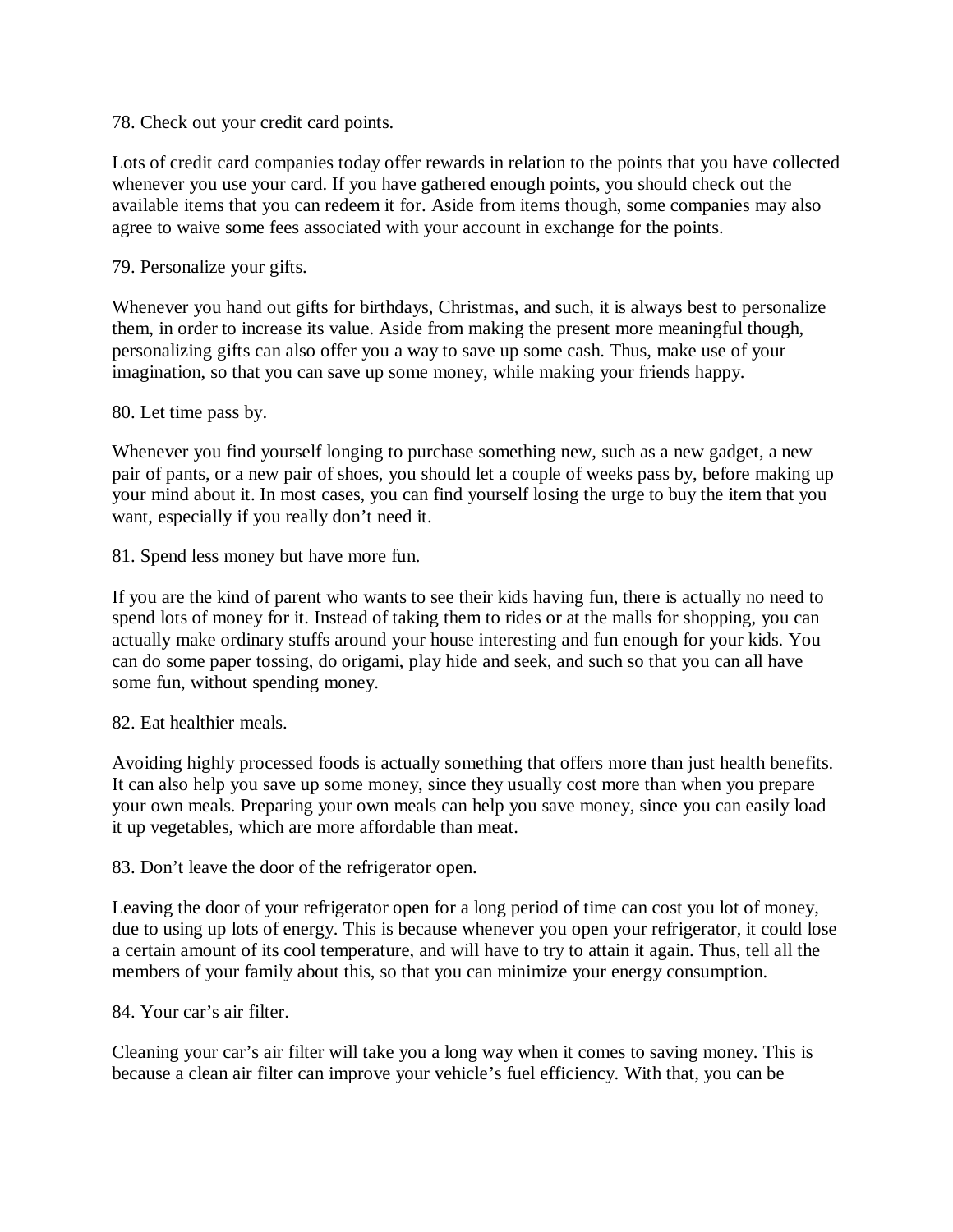78. Check out your credit card points.

Lots of credit card companies today offer rewards in relation to the points that you have collected whenever you use your card. If you have gathered enough points, you should check out the available items that you can redeem it for. Aside from items though, some companies may also agree to waive some fees associated with your account in exchange for the points.

79. Personalize your gifts.

Whenever you hand out gifts for birthdays, Christmas, and such, it is always best to personalize them, in order to increase its value. Aside from making the present more meaningful though, personalizing gifts can also offer you a way to save up some cash. Thus, make use of your imagination, so that you can save up some money, while making your friends happy.

#### 80. Let time pass by.

Whenever you find yourself longing to purchase something new, such as a new gadget, a new pair of pants, or a new pair of shoes, you should let a couple of weeks pass by, before making up your mind about it. In most cases, you can find yourself losing the urge to buy the item that you want, especially if you really don't need it.

81. Spend less money but have more fun.

If you are the kind of parent who wants to see their kids having fun, there is actually no need to spend lots of money for it. Instead of taking them to rides or at the malls for shopping, you can actually make ordinary stuffs around your house interesting and fun enough for your kids. You can do some paper tossing, do origami, play hide and seek, and such so that you can all have some fun, without spending money.

#### 82. Eat healthier meals.

Avoiding highly processed foods is actually something that offers more than just health benefits. It can also help you save up some money, since they usually cost more than when you prepare your own meals. Preparing your own meals can help you save money, since you can easily load it up vegetables, which are more affordable than meat.

83. Don't leave the door of the refrigerator open.

Leaving the door of your refrigerator open for a long period of time can cost you lot of money, due to using up lots of energy. This is because whenever you open your refrigerator, it could lose a certain amount of its cool temperature, and will have to try to attain it again. Thus, tell all the members of your family about this, so that you can minimize your energy consumption.

84. Your car's air filter.

Cleaning your car's air filter will take you a long way when it comes to saving money. This is because a clean air filter can improve your vehicle's fuel efficiency. With that, you can be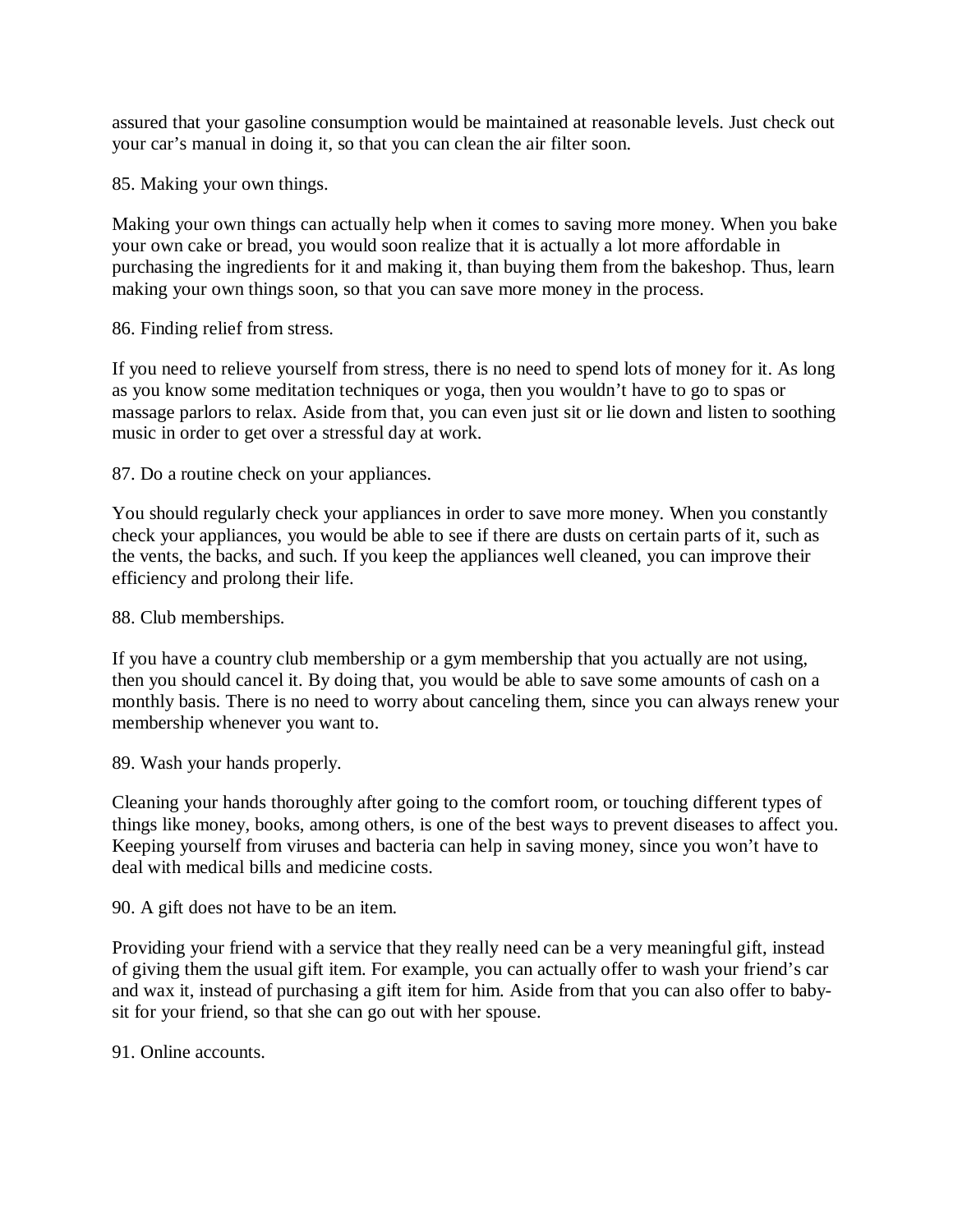assured that your gasoline consumption would be maintained at reasonable levels. Just check out your car's manual in doing it, so that you can clean the air filter soon.

85. Making your own things.

Making your own things can actually help when it comes to saving more money. When you bake your own cake or bread, you would soon realize that it is actually a lot more affordable in purchasing the ingredients for it and making it, than buying them from the bakeshop. Thus, learn making your own things soon, so that you can save more money in the process.

86. Finding relief from stress.

If you need to relieve yourself from stress, there is no need to spend lots of money for it. As long as you know some meditation techniques or yoga, then you wouldn't have to go to spas or massage parlors to relax. Aside from that, you can even just sit or lie down and listen to soothing music in order to get over a stressful day at work.

87. Do a routine check on your appliances.

You should regularly check your appliances in order to save more money. When you constantly check your appliances, you would be able to see if there are dusts on certain parts of it, such as the vents, the backs, and such. If you keep the appliances well cleaned, you can improve their efficiency and prolong their life.

88. Club memberships.

If you have a country club membership or a gym membership that you actually are not using, then you should cancel it. By doing that, you would be able to save some amounts of cash on a monthly basis. There is no need to worry about canceling them, since you can always renew your membership whenever you want to.

89. Wash your hands properly.

Cleaning your hands thoroughly after going to the comfort room, or touching different types of things like money, books, among others, is one of the best ways to prevent diseases to affect you. Keeping yourself from viruses and bacteria can help in saving money, since you won't have to deal with medical bills and medicine costs.

90. A gift does not have to be an item.

Providing your friend with a service that they really need can be a very meaningful gift, instead of giving them the usual gift item. For example, you can actually offer to wash your friend's car and wax it, instead of purchasing a gift item for him. Aside from that you can also offer to babysit for your friend, so that she can go out with her spouse.

91. Online accounts.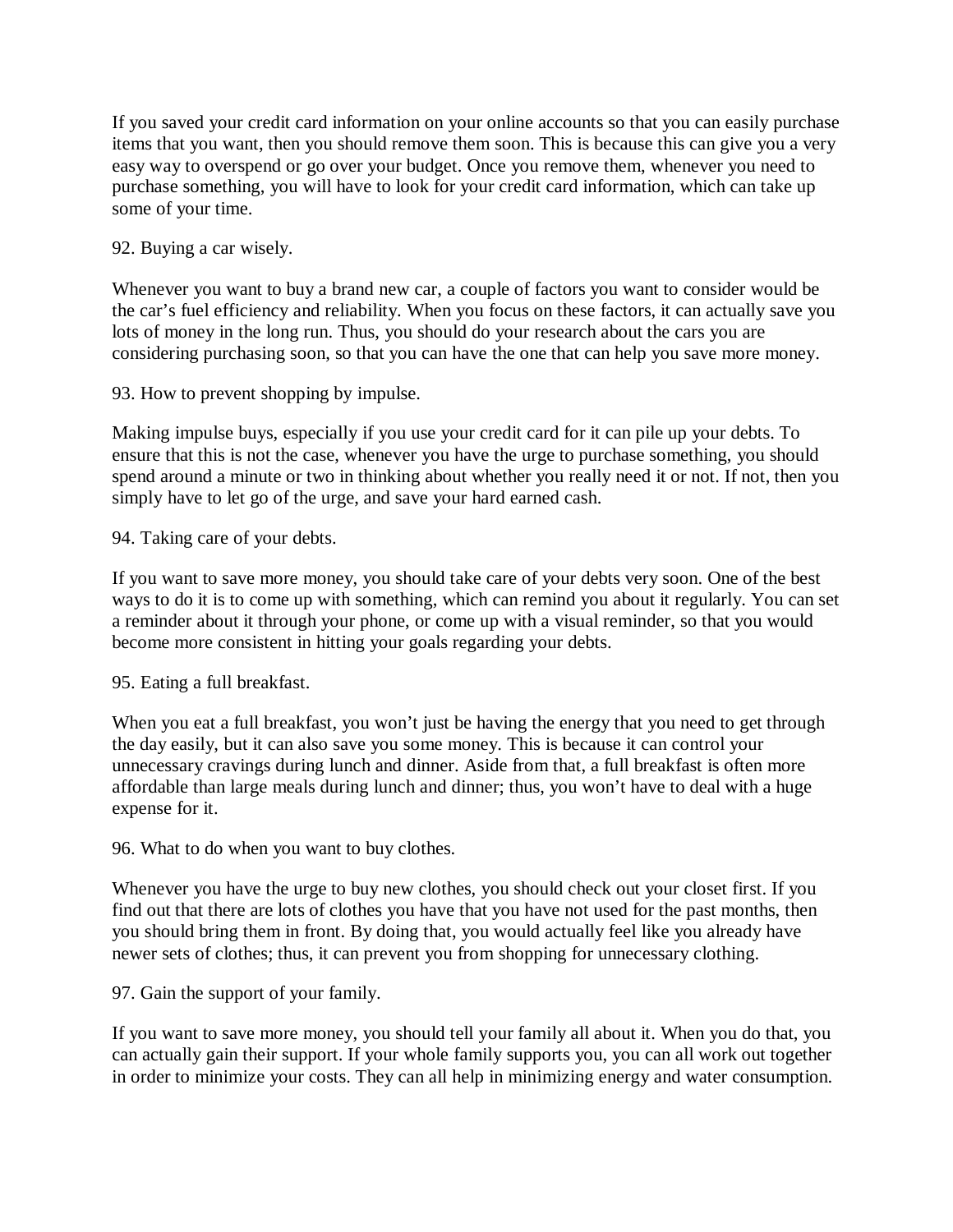If you saved your credit card information on your online accounts so that you can easily purchase items that you want, then you should remove them soon. This is because this can give you a very easy way to overspend or go over your budget. Once you remove them, whenever you need to purchase something, you will have to look for your credit card information, which can take up some of your time.

# 92. Buying a car wisely.

Whenever you want to buy a brand new car, a couple of factors you want to consider would be the car's fuel efficiency and reliability. When you focus on these factors, it can actually save you lots of money in the long run. Thus, you should do your research about the cars you are considering purchasing soon, so that you can have the one that can help you save more money.

93. How to prevent shopping by impulse.

Making impulse buys, especially if you use your credit card for it can pile up your debts. To ensure that this is not the case, whenever you have the urge to purchase something, you should spend around a minute or two in thinking about whether you really need it or not. If not, then you simply have to let go of the urge, and save your hard earned cash.

94. Taking care of your debts.

If you want to save more money, you should take care of your debts very soon. One of the best ways to do it is to come up with something, which can remind you about it regularly. You can set a reminder about it through your phone, or come up with a visual reminder, so that you would become more consistent in hitting your goals regarding your debts.

95. Eating a full breakfast.

When you eat a full breakfast, you won't just be having the energy that you need to get through the day easily, but it can also save you some money. This is because it can control your unnecessary cravings during lunch and dinner. Aside from that, a full breakfast is often more affordable than large meals during lunch and dinner; thus, you won't have to deal with a huge expense for it.

96. What to do when you want to buy clothes.

Whenever you have the urge to buy new clothes, you should check out your closet first. If you find out that there are lots of clothes you have that you have not used for the past months, then you should bring them in front. By doing that, you would actually feel like you already have newer sets of clothes; thus, it can prevent you from shopping for unnecessary clothing.

97. Gain the support of your family.

If you want to save more money, you should tell your family all about it. When you do that, you can actually gain their support. If your whole family supports you, you can all work out together in order to minimize your costs. They can all help in minimizing energy and water consumption.